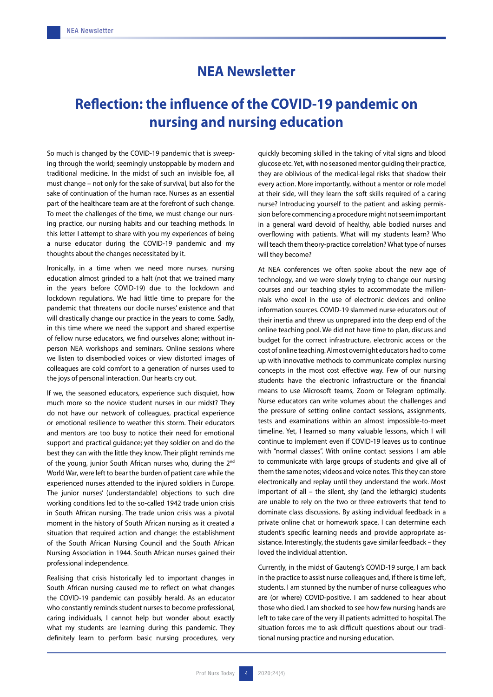## **NEA Newsletter**

## **Reflection: the influence of the COVID-19 pandemic on nursing and nursing education**

So much is changed by the COVID-19 pandemic that is sweeping through the world; seemingly unstoppable by modern and traditional medicine. In the midst of such an invisible foe, all must change – not only for the sake of survival, but also for the sake of continuation of the human race. Nurses as an essential part of the healthcare team are at the forefront of such change. To meet the challenges of the time, we must change our nursing practice, our nursing habits and our teaching methods. In this letter I attempt to share with you my experiences of being a nurse educator during the COVID-19 pandemic and my thoughts about the changes necessitated by it.

Ironically, in a time when we need more nurses, nursing education almost grinded to a halt (not that we trained many in the years before COVID-19) due to the lockdown and lockdown regulations. We had little time to prepare for the pandemic that threatens our docile nurses' existence and that will drastically change our practice in the years to come. Sadly, in this time where we need the support and shared expertise of fellow nurse educators, we find ourselves alone; without inperson NEA workshops and seminars. Online sessions where we listen to disembodied voices or view distorted images of colleagues are cold comfort to a generation of nurses used to the joys of personal interaction. Our hearts cry out.

If we, the seasoned educators, experience such disquiet, how much more so the novice student nurses in our midst? They do not have our network of colleagues, practical experience or emotional resilience to weather this storm. Their educators and mentors are too busy to notice their need for emotional support and practical guidance; yet they soldier on and do the best they can with the little they know. Their plight reminds me of the young, junior South African nurses who, during the 2<sup>nd</sup> World War, were left to bear the burden of patient care while the experienced nurses attended to the injured soldiers in Europe. The junior nurses' (understandable) objections to such dire working conditions led to the so-called 1942 trade union crisis in South African nursing. The trade union crisis was a pivotal moment in the history of South African nursing as it created a situation that required action and change: the establishment of the South African Nursing Council and the South African Nursing Association in 1944. South African nurses gained their professional independence.

Realising that crisis historically led to important changes in South African nursing caused me to reflect on what changes the COVID-19 pandemic can possibly herald. As an educator who constantly reminds student nurses to become professional, caring individuals, I cannot help but wonder about exactly what my students are learning during this pandemic. They definitely learn to perform basic nursing procedures, very quickly becoming skilled in the taking of vital signs and blood glucose etc. Yet, with no seasoned mentor guiding their practice, they are oblivious of the medical-legal risks that shadow their every action. More importantly, without a mentor or role model at their side, will they learn the soft skills required of a caring nurse? Introducing yourself to the patient and asking permission before commencing a procedure might not seem important in a general ward devoid of healthy, able bodied nurses and overflowing with patients. What will my students learn? Who will teach them theory-practice correlation? What type of nurses will they become?

At NEA conferences we often spoke about the new age of technology, and we were slowly trying to change our nursing courses and our teaching styles to accommodate the millennials who excel in the use of electronic devices and online information sources. COVID-19 slammed nurse educators out of their inertia and threw us unprepared into the deep end of the online teaching pool. We did not have time to plan, discuss and budget for the correct infrastructure, electronic access or the cost of online teaching. Almost overnight educators had to come up with innovative methods to communicate complex nursing concepts in the most cost effective way. Few of our nursing students have the electronic infrastructure or the financial means to use Microsoft teams, Zoom or Telegram optimally. Nurse educators can write volumes about the challenges and the pressure of setting online contact sessions, assignments, tests and examinations within an almost impossible-to-meet timeline. Yet, I learned so many valuable lessons, which I will continue to implement even if COVID-19 leaves us to continue with "normal classes". With online contact sessions I am able to communicate with large groups of students and give all of them the same notes; videos and voice notes. This they can store electronically and replay until they understand the work. Most important of all – the silent, shy (and the lethargic) students are unable to rely on the two or three extroverts that tend to dominate class discussions. By asking individual feedback in a private online chat or homework space, I can determine each student's specific learning needs and provide appropriate assistance. Interestingly, the students gave similar feedback – they loved the individual attention.

Currently, in the midst of Gauteng's COVID-19 surge, I am back in the practice to assist nurse colleagues and, if there is time left, students. I am stunned by the number of nurse colleagues who are (or where) COVID-positive. I am saddened to hear about those who died. I am shocked to see how few nursing hands are left to take care of the very ill patients admitted to hospital. The situation forces me to ask difficult questions about our traditional nursing practice and nursing education.